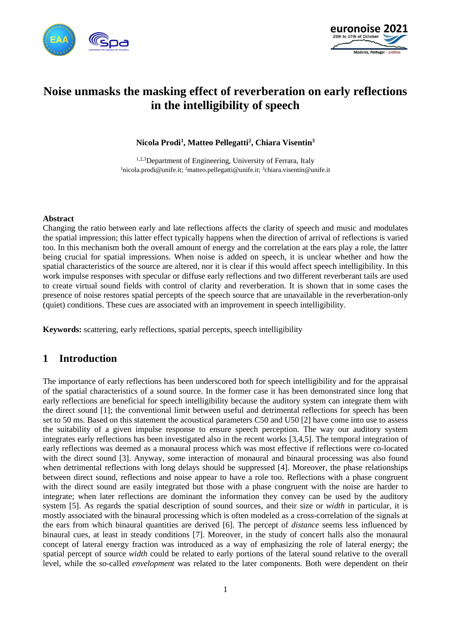



# **Noise unmasks the masking effect of reverberation on early reflections in the intelligibility of speech**

**Nicola Prodi<sup>1</sup> , Matteo Pellegatti<sup>2</sup> , Chiara Visentin<sup>3</sup>**

1,2,3 Department of Engineering, University of Ferrara, Italy <sup>1</sup>nicola.prodi@unife.it; <sup>2</sup>matteo.pellegatti@unife.it; <sup>3</sup>chiara.visentin@unife.it

#### **Abstract**

Changing the ratio between early and late reflections affects the clarity of speech and music and modulates the spatial impression; this latter effect typically happens when the direction of arrival of reflections is varied too. In this mechanism both the overall amount of energy and the correlation at the ears play a role, the latter being crucial for spatial impressions. When noise is added on speech, it is unclear whether and how the spatial characteristics of the source are altered, nor it is clear if this would affect speech intelligibility. In this work impulse responses with specular or diffuse early reflections and two different reverberant tails are used to create virtual sound fields with control of clarity and reverberation. It is shown that in some cases the presence of noise restores spatial percepts of the speech source that are unavailable in the reverberation-only (quiet) conditions. These cues are associated with an improvement in speech intelligibility.

**Keywords:** scattering, early reflections, spatial percepts, speech intelligibility

# **1 Introduction**

The importance of early reflections has been underscored both for speech intelligibility and for the appraisal of the spatial characteristics of a sound source. In the former case it has been demonstrated since long that early reflections are beneficial for speech intelligibility because the auditory system can integrate them with the direct sound [1]; the conventional limit between useful and detrimental reflections for speech has been set to 50 ms. Based on this statement the acoustical parameters C50 and U50 [2] have come into use to assess the suitability of a given impulse response to ensure speech perception. The way our auditory system integrates early reflections has been investigated also in the recent works [3,4,5]. The temporal integration of early reflections was deemed as a monaural process which was most effective if reflections were co-located with the direct sound [3]. Anyway, some interaction of monaural and binaural processing was also found when detrimental reflections with long delays should be suppressed [4]. Moreover, the phase relationships between direct sound, reflections and noise appear to have a role too. Reflections with a phase congruent with the direct sound are easily integrated but those with a phase congruent with the noise are harder to integrate; when later reflections are dominant the information they convey can be used by the auditory system [5]. As regards the spatial description of sound sources, and their size or *width* in particular, it is mostly associated with the binaural processing which is often modeled as a cross-correlation of the signals at the ears from which binaural quantities are derived [6]. The percept of *distance* seems less influenced by binaural cues, at least in steady conditions [7]. Moreover, in the study of concert halls also the monaural concept of lateral energy fraction was introduced as a way of emphasizing the role of lateral energy; the spatial percept of source *width* could be related to early portions of the lateral sound relative to the overall level, while the so-called *envelopment* was related to the later components. Both were dependent on their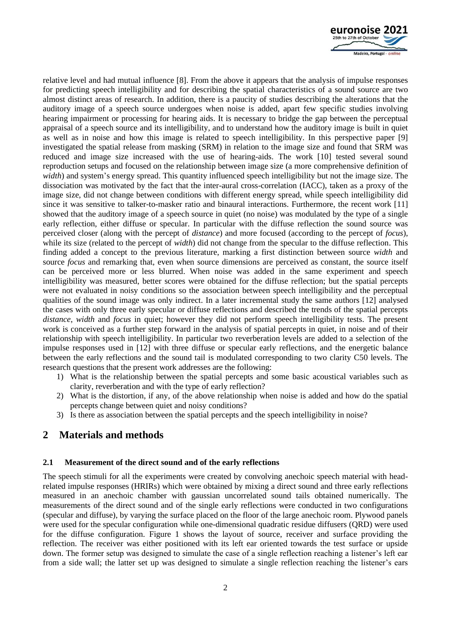

relative level and had mutual influence [8]. From the above it appears that the analysis of impulse responses for predicting speech intelligibility and for describing the spatial characteristics of a sound source are two almost distinct areas of research. In addition, there is a paucity of studies describing the alterations that the auditory image of a speech source undergoes when noise is added, apart few specific studies involving hearing impairment or processing for hearing aids. It is necessary to bridge the gap between the perceptual appraisal of a speech source and its intelligibility, and to understand how the auditory image is built in quiet as well as in noise and how this image is related to speech intelligibility. In this perspective paper [9] investigated the spatial release from masking (SRM) in relation to the image size and found that SRM was reduced and image size increased with the use of hearing-aids. The work [10] tested several sound reproduction setups and focused on the relationship between image size (a more comprehensive definition of *width*) and system's energy spread. This quantity influenced speech intelligibility but not the image size. The dissociation was motivated by the fact that the inter-aural cross-correlation (IACC), taken as a proxy of the image size, did not change between conditions with different energy spread, while speech intelligibility did since it was sensitive to talker-to-masker ratio and binaural interactions. Furthermore, the recent work [11] showed that the auditory image of a speech source in quiet (no noise) was modulated by the type of a single early reflection, either diffuse or specular. In particular with the diffuse reflection the sound source was perceived closer (along with the percept of *distance*) and more focused (according to the percept of *focus*), while its size (related to the percept of *width*) did not change from the specular to the diffuse reflection. This finding added a concept to the previous literature, marking a first distinction between source *width* and source *focus* and remarking that, even when source dimensions are perceived as constant, the source itself can be perceived more or less blurred. When noise was added in the same experiment and speech intelligibility was measured, better scores were obtained for the diffuse reflection; but the spatial percepts were not evaluated in noisy conditions so the association between speech intelligibility and the perceptual qualities of the sound image was only indirect. In a later incremental study the same authors [12] analysed the cases with only three early specular or diffuse reflections and described the trends of the spatial percepts *distance*, *width* and *focus* in quiet; however they did not perform speech intelligibility tests. The present work is conceived as a further step forward in the analysis of spatial percepts in quiet, in noise and of their relationship with speech intelligibility. In particular two reverberation levels are added to a selection of the impulse responses used in [12] with three diffuse or specular early reflections, and the energetic balance between the early reflections and the sound tail is modulated corresponding to two clarity C50 levels. The research questions that the present work addresses are the following:

- 1) What is the relationship between the spatial percepts and some basic acoustical variables such as clarity, reverberation and with the type of early reflection?
- 2) What is the distortion, if any, of the above relationship when noise is added and how do the spatial percepts change between quiet and noisy conditions?
- 3) Is there as association between the spatial percepts and the speech intelligibility in noise?

# **2 Materials and methods**

### **2.1 Measurement of the direct sound and of the early reflections**

The speech stimuli for all the experiments were created by convolving anechoic speech material with headrelated impulse responses (HRIRs) which were obtained by mixing a direct sound and three early reflections measured in an anechoic chamber with gaussian uncorrelated sound tails obtained numerically. The measurements of the direct sound and of the single early reflections were conducted in two configurations (specular and diffuse), by varying the surface placed on the floor of the large anechoic room. Plywood panels were used for the specular configuration while one-dimensional quadratic residue diffusers (QRD) were used for the diffuse configuration. Figure 1 shows the layout of source, receiver and surface providing the reflection. The receiver was either positioned with its left ear oriented towards the test surface or upside down. The former setup was designed to simulate the case of a single reflection reaching a listener's left ear from a side wall; the latter set up was designed to simulate a single reflection reaching the listener's ears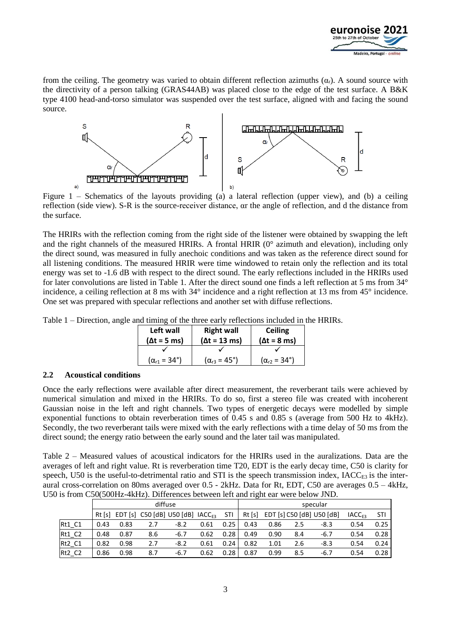

from the ceiling. The geometry was varied to obtain different reflection azimuths  $(\alpha_r)$ . A sound source with the directivity of a person talking (GRAS44AB) was placed close to the edge of the test surface. A B&K type 4100 head-and-torso simulator was suspended over the test surface, aligned with and facing the sound source.



Figure 1 – Schematics of the layouts providing (a) a lateral reflection (upper view), and (b) a ceiling reflection (side view). S-R is the source-receiver distance, αr the angle of reflection, and d the distance from the surface.

The HRIRs with the reflection coming from the right side of the listener were obtained by swapping the left and the right channels of the measured HRIRs. A frontal HRIR (0° azimuth and elevation), including only the direct sound, was measured in fully anechoic conditions and was taken as the reference direct sound for all listening conditions. The measured HRIR were time windowed to retain only the reflection and its total energy was set to -1.6 dB with respect to the direct sound. The early reflections included in the HRIRs used for later convolutions are listed in Table 1. After the direct sound one finds a left reflection at 5 ms from 34° incidence, a ceiling reflection at 8 ms with 34° incidence and a right reflection at 13 ms from 45° incidence. One set was prepared with specular reflections and another set with diffuse reflections.

Table 1 – Direction, angle and timing of the three early reflections included in the HRIRs.

| Left wall                    | <b>Right wall</b>            | <b>Ceiling</b>               |  |  |
|------------------------------|------------------------------|------------------------------|--|--|
| $(\Delta t = 5$ ms)          | $(\Delta t = 13 \text{ ms})$ | $(\Delta t = 8$ ms)          |  |  |
|                              |                              |                              |  |  |
| $(\alpha_{r1} = 34^{\circ})$ | $(\alpha_{r3} = 45^{\circ})$ | $(\alpha_{r2} = 34^{\circ})$ |  |  |

### **2.2 Acoustical conditions**

Once the early reflections were available after direct measurement, the reverberant tails were achieved by numerical simulation and mixed in the HRIRs. To do so, first a stereo file was created with incoherent Gaussian noise in the left and right channels. Two types of energetic decays were modelled by simple exponential functions to obtain reverberation times of 0.45 s and 0.85 s (average from 500 Hz to 4kHz). Secondly, the two reverberant tails were mixed with the early reflections with a time delay of 50 ms from the direct sound; the energy ratio between the early sound and the later tail was manipulated.

Table 2 – Measured values of acoustical indicators for the HRIRs used in the auralizations. Data are the averages of left and right value. Rt is reverberation time T20, EDT is the early decay time, C50 is clarity for speech, U50 is the useful-to-detrimental ratio and STI is the speech transmission index,  $IACC<sub>ES</sub>$  is the interaural cross-correlation on 80ms averaged over 0.5 - 2kHz. Data for Rt, EDT, C50 are averages 0.5 – 4kHz, U50 is from C50(500Hz-4kHz). Differences between left and right ear were below JND.

|          | diffuse |      |     |                                                     |      | specular |       |      |     |                           |                          |      |
|----------|---------|------|-----|-----------------------------------------------------|------|----------|-------|------|-----|---------------------------|--------------------------|------|
|          |         |      |     | Rt [s] EDT [s] C50 [dB] U50 [dB] IACC <sub>F3</sub> |      | STI      | Rt[s] |      |     | EDT [s] C50 [dB] U50 [dB] | <b>IACC<sub>E3</sub></b> | STI  |
| $Rt1_C1$ | 0.43    | 0.83 | 2.7 | $-8.2$                                              | 0.61 | 0.25     | 0.43  | 0.86 | 2.5 | $-8.3$                    | 0.54                     | 0.25 |
| $Rt1_C2$ | 0.48    | 0.87 | 8.6 | $-6.7$                                              | 0.62 | 0.28     | 0.49  | 0.90 | 8.4 | $-6.7$                    | 0.54                     | 0.28 |
| $Rt2_C1$ | 0.82    | 0.98 | 2.7 | $-8.2$                                              | 0.61 | 0.24     | 0.82  | 1.01 | 2.6 | $-8.3$                    | 0.54                     | 0.24 |
| Rt2 C2   | 0.86    | 0.98 | 8.7 | $-6.7$                                              | 0.62 | 0.28     | 0.87  | 0.99 | 8.5 | $-6.7$                    | 0.54                     | 0.28 |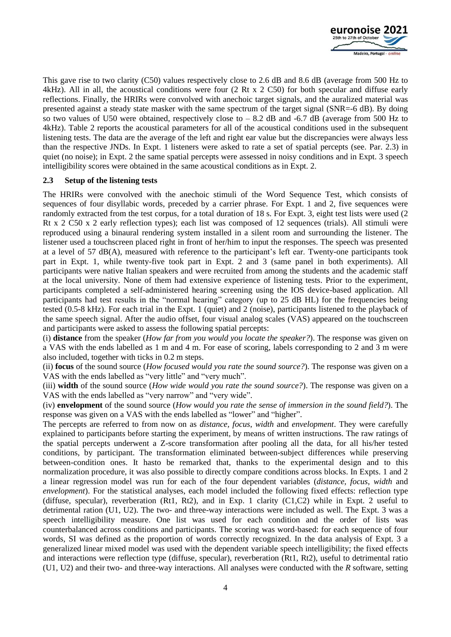

This gave rise to two clarity (C50) values respectively close to 2.6 dB and 8.6 dB (average from 500 Hz to 4kHz). All in all, the acoustical conditions were four (2 Rt x 2 C50) for both specular and diffuse early reflections. Finally, the HRIRs were convolved with anechoic target signals, and the auralized material was presented against a steady state masker with the same spectrum of the target signal (SNR=-6 dB). By doing so two values of U50 were obtained, respectively close to  $- 8.2$  dB and  $-6.7$  dB (average from 500 Hz to 4kHz). Table 2 reports the acoustical parameters for all of the acoustical conditions used in the subsequent listening tests. The data are the average of the left and right ear value but the discrepancies were always less than the respective JNDs. In Expt. 1 listeners were asked to rate a set of spatial percepts (see. Par. 2.3) in quiet (no noise); in Expt. 2 the same spatial percepts were assessed in noisy conditions and in Expt. 3 speech intelligibility scores were obtained in the same acoustical conditions as in Expt. 2.

### **2.3 Setup of the listening tests**

The HRIRs were convolved with the anechoic stimuli of the Word Sequence Test, which consists of sequences of four disyllabic words, preceded by a carrier phrase. For Expt. 1 and 2, five sequences were randomly extracted from the test corpus, for a total duration of 18 s. For Expt. 3, eight test lists were used (2 Rt x 2 C50 x 2 early reflection types); each list was composed of 12 sequences (trials). All stimuli were reproduced using a binaural rendering system installed in a silent room and surrounding the listener. The listener used a touchscreen placed right in front of her/him to input the responses. The speech was presented at a level of 57 dB(A), measured with reference to the participant's left ear. Twenty-one participants took part in Expt. 1, while twenty-five took part in Expt. 2 and 3 (same panel in both experiments). All participants were native Italian speakers and were recruited from among the students and the academic staff at the local university. None of them had extensive experience of listening tests. Prior to the experiment, participants completed a self-administered hearing screening using the IOS device-based application. All participants had test results in the "normal hearing" category (up to 25 dB HL) for the frequencies being tested (0.5-8 kHz). For each trial in the Expt. 1 (quiet) and 2 (noise), participants listened to the playback of the same speech signal. After the audio offset, four visual analog scales (VAS) appeared on the touchscreen and participants were asked to assess the following spatial percepts:

(i) **distance** from the speaker (*How far from you would you locate the speaker?*). The response was given on a VAS with the ends labelled as 1 m and 4 m. For ease of scoring, labels corresponding to 2 and 3 m were also included, together with ticks in 0.2 m steps.

(ii) **focus** of the sound source (*How focused would you rate the sound source?*). The response was given on a VAS with the ends labelled as "very little" and "very much".

(iii) **width** of the sound source (*How wide would you rate the sound source?*). The response was given on a VAS with the ends labelled as "very narrow" and "very wide".

(iv) **envelopment** of the sound source (*How would you rate the sense of immersion in the sound field?*). The response was given on a VAS with the ends labelled as "lower" and "higher".

The percepts are referred to from now on as *distance, focus*, *width* and *envelopment*. They were carefully explained to participants before starting the experiment, by means of written instructions. The raw ratings of the spatial percepts underwent a Z-score transformation after pooling all the data, for all his/her tested conditions, by participant. The transformation eliminated between-subject differences while preserving between-condition ones. It hasto be remarked that, thanks to the experimental design and to this normalization procedure, it was also possible to directly compare conditions across blocks. In Expts. 1 and 2 a linear regression model was run for each of the four dependent variables (*distance, focus*, *width* and *envelopment*). For the statistical analyses, each model included the following fixed effects: reflection type (diffuse, specular), reverberation (Rt1, Rt2), and in Exp. 1 clarity (C1,C2) while in Expt. 2 useful to detrimental ration (U1, U2). The two- and three-way interactions were included as well. The Expt. 3 was a speech intelligibility measure. One list was used for each condition and the order of lists was counterbalanced across conditions and participants. The scoring was word-based: for each sequence of four words, SI was defined as the proportion of words correctly recognized. In the data analysis of Expt. 3 a generalized linear mixed model was used with the dependent variable speech intelligibility; the fixed effects and interactions were reflection type (diffuse, specular), reverberation (Rt1, Rt2), useful to detrimental ratio (U1, U2) and their two- and three-way interactions. All analyses were conducted with the *R* software, setting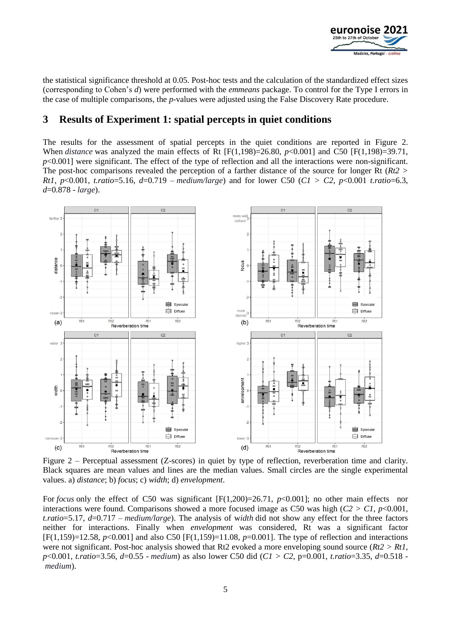

the statistical significance threshold at 0.05. Post-hoc tests and the calculation of the standardized effect sizes (corresponding to Cohen's *d*) were performed with the *emmeans* package. To control for the Type I errors in the case of multiple comparisons, the *p*-values were adjusted using the False Discovery Rate procedure.

### **3 Results of Experiment 1: spatial percepts in quiet conditions**

The results for the assessment of spatial percepts in the quiet conditions are reported in Figure 2. When *distance* was analyzed the main effects of Rt [F(1,198)=26.80, *p*<0.001] and C50 [F(1,198)=39.71, *p*<0.001] were significant. The effect of the type of reflection and all the interactions were non-significant. The post-hoc comparisons revealed the perception of a farther distance of the source for longer Rt (*Rt2 > Rt1*, *p*<0.001, *t.ratio*=5.16, *d*=0.719 – *medium/large*) and for lower C50 (*C1 > C2*, *p*<0.001 *t.ratio*=6.3, *d*=0.878 - *large*).



Black squares are mean values and lines are the median values. Small circles are the single experimental values. a) *distance*; b) *focus*; c) *width*; d) *envelopment*.

For *focus* only the effect of C50 was significant [F(1,200)=26.71, *p*<0.001]; no other main effects nor interactions were found. Comparisons showed a more focused image as C50 was high  $(C2 > C1, p<0.001,$ *t.ratio*=5.17, *d*=0.717 – *medium/large*). The analysis of w*idth* did not show any effect for the three factors neither for interactions. Finally when *envelopment* was considered, Rt was a significant factor [F(1,159)=12.58, *p*<0.001] and also C50 [F(1,159)=11.08, *p*=0.001]. The type of reflection and interactions were not significant. Post-hoc analysis showed that Rt2 evoked a more enveloping sound source (*Rt2 > Rt1*, *p*<0.001, *t.ratio*=3.56, *d*=0.55 - *medium*) as also lower C50 did (*C1 > C2*, p=0.001, *t.ratio*=3.35, *d*=0.518 *medium*).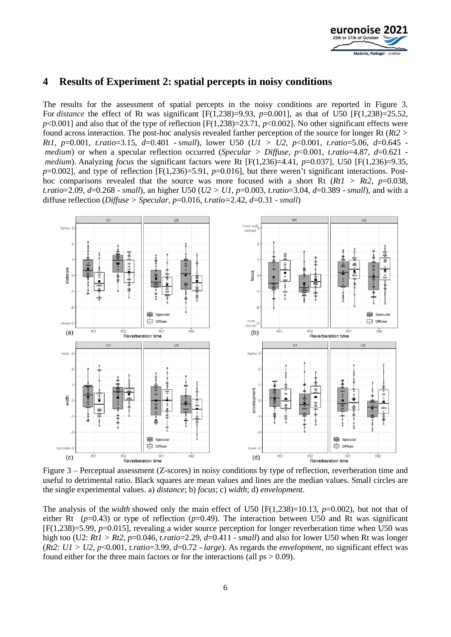

### **4 Results of Experiment 2: spatial percepts in noisy conditions**

The results for the assessment of spatial percepts in the noisy conditions are reported in Figure 3. For *distance* the effect of Rt was significant [F(1,238)=9.93, *p*=0.001], as that of U50 [F(1,238)=25.52,  $p$ <0.001] and also that of the type of reflection  $[F(1,238)=23.71, p<0.002]$ . No other significant effects were found across interaction. The post-hoc analysis revealed farther perception of the source for longer Rt (*Rt2 > Rt1*, *p*=0.001, *t.ratio*=3.15, *d*=0.401 - *small*), lower U50 (*U1 > U2, p*<0.001, *t.ratio*=5.06, *d*=0.645 *medium*) or when a specular reflection occurred (*Specular > Diffuse, p*<0.001, *t.ratio*=4.87, *d*=0.621 *medium*). Analyzing *focus* the significant factors were Rt [F(1,236)=4.41,  $p=0.037$ ], U50 [F(1,236)=9.35, *p*=0.002], and type of reflection [F(1,236)=5.91, *p*=0.016], but there weren't significant interactions. Posthoc comparisons revealed that the source was more focused with a short Rt  $(Rt1 > Rt2, p=0.038,$ *t.ratio*=2.09, *d*=0.268 - *small*), an higher U50 (*U2 > U1*, *p*=0.003, *t.ratio*=3.04, *d*=0.389 - *small*), and with a diffuse reflection (*Diffuse > Specular, p*=0.016, *t.ratio=*2.42, *d*=0.31 - *small*)



Figure 3 – Perceptual assessment (Z-scores) in noisy conditions by type of reflection, reverberation time and useful to detrimental ratio. Black squares are mean values and lines are the median values. Small circles are the single experimental values. a) *distance*; b) *focus*; c) *width*; d) *envelopment*.

The analysis of the *width* showed only the main effect of U50  $[F(1,238)=10.13, p=0.002)$ , but not that of either Rt ( $p=0.43$ ) or type of reflection ( $p=0.49$ ). The interaction between U50 and Rt was significant [F(1,238)=5.99, *p*=0.015], revealing a wider source perception for longer reverberation time when U50 was high too (U2: *Rt1 > Rt2*, *p*=0.046, *t.ratio*=2.29, *d*=0.411 - *small*) and also for lower U50 when Rt was longer (*Rt2*:  $UI > U2$ ,  $p < 0.001$ , *t.ratio*=3.99,  $d = 0.72$  - *large*). As regards the *envelopment*, no significant effect was found either for the three main factors or for the interactions (all  $ps > 0.09$ ).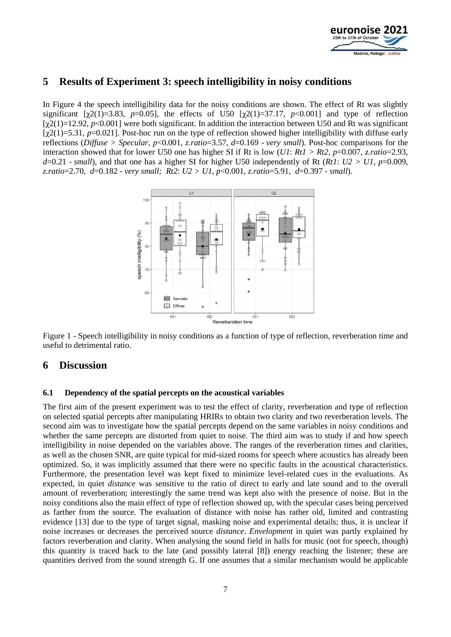

# **5 Results of Experiment 3: speech intelligibility in noisy conditions**

In Figure 4 the speech intelligibility data for the noisy conditions are shown. The effect of Rt was slightly significant  $[\gamma 2(1) = 3.83, p = 0.05]$ , the effects of U50  $[\gamma 2(1) = 37.17, p < 0.001]$  and type of reflection  $[\gamma(2)]$ =12.92, *p*<0.001] were both significant. In addition the interaction between U50 and Rt was significant [ $\chi$ 2(1)=5.31, *p*=0.021]. Post-hoc run on the type of reflection showed higher intelligibility with diffuse early reflections (*Diffuse > Specular, p*<0.001, *z.ratio*=3.57, *d*=0.169 - *very small*). Post-hoc comparisons for the interaction showed that for lower U50 one has higher SI if Rt is low (*U1*: *Rt1 > Rt2*, *p*=0.007, *z.ratio*=2.93,  $d=0.21$  - *small*), and that one has a higher SI for higher U50 independently of Rt (*Rt1*:  $U2 > U1$ ,  $p=0.009$ , *z.ratio*=2.70, *d*=0.182 - *very small; Rt2*: *U2 > U1*, *p*<0.001, *z.ratio*=5.91, *d*=0.397 - *small*).



Figure 1 - Speech intelligibility in noisy conditions as a function of type of reflection, reverberation time and useful to detrimental ratio.

### **6 Discussion**

### **6.1 Dependency of the spatial percepts on the acoustical variables**

The first aim of the present experiment was to test the effect of clarity, reverberation and type of reflection on selected spatial percepts after manipulating HRIRs to obtain two clarity and two reverberation levels. The second aim was to investigate how the spatial percepts depend on the same variables in noisy conditions and whether the same percepts are distorted from quiet to noise. The third aim was to study if and how speech intelligibility in noise depended on the variables above. The ranges of the reverberation times and clarities, as well as the chosen SNR, are quite typical for mid-sized rooms for speech where acoustics has already been optimized. So, it was implicitly assumed that there were no specific faults in the acoustical characteristics. Furthermore, the presentation level was kept fixed to minimize level-related cues in the evaluations. As expected, in quiet *distance* was sensitive to the ratio of direct to early and late sound and to the overall amount of reverberation; interestingly the same trend was kept also with the presence of noise. But in the noisy conditions also the main effect of type of reflection showed up, with the specular cases being perceived as farther from the source. The evaluation of distance with noise has rather old, limited and contrasting evidence [13] due to the type of target signal, masking noise and experimental details; thus, it is unclear if noise increases or decreases the perceived source *distance*. *Envelopment* in quiet was partly explained by factors reverberation and clarity. When analysing the sound field in halls for music (not for speech, though) this quantity is traced back to the late (and possibly lateral [8]) energy reaching the listener; these are quantities derived from the sound strength G. If one assumes that a similar mechanism would be applicable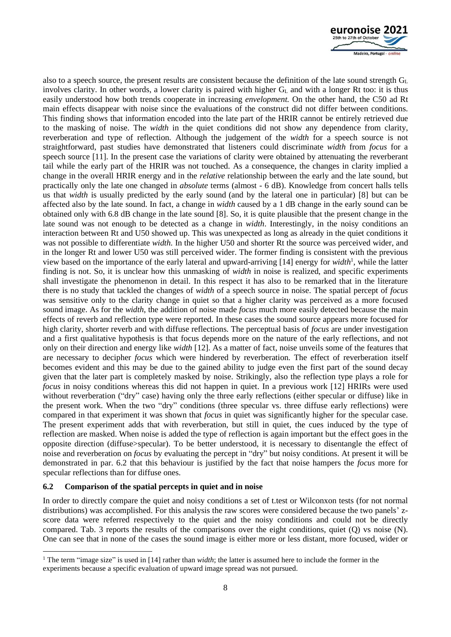

also to a speech source, the present results are consistent because the definition of the late sound strength  $G<sub>L</sub>$ involves clarity. In other words, a lower clarity is paired with higher  $G<sub>L</sub>$  and with a longer Rt too: it is thus easily understood how both trends cooperate in increasing *envelopment.* On the other hand, the C50 ad Rt main effects disappear with noise since the evaluations of the construct did not differ between conditions. This finding shows that information encoded into the late part of the HRIR cannot be entirely retrieved due to the masking of noise. The *width* in the quiet conditions did not show any dependence from clarity, reverberation and type of reflection. Although the judgement of the *width* for a speech source is not straightforward, past studies have demonstrated that listeners could discriminate *width* from *focus* for a speech source [11]. In the present case the variations of clarity were obtained by attenuating the reverberant tail while the early part of the HRIR was not touched. As a consequence, the changes in clarity implied a change in the overall HRIR energy and in the *relative* relationship between the early and the late sound, but practically only the late one changed in *absolute* terms (almost - 6 dB). Knowledge from concert halls tells us that *width* is usually predicted by the early sound (and by the lateral one in particular) [8] but can be affected also by the late sound. In fact, a change in *width* caused by a 1 dB change in the early sound can be obtained only with 6.8 dB change in the late sound [8]. So, it is quite plausible that the present change in the late sound was not enough to be detected as a change in *width*. Interestingly, in the noisy conditions an interaction between Rt and U50 showed up. This was unexpected as long as already in the quiet conditions it was not possible to differentiate *width.* In the higher U50 and shorter Rt the source was perceived wider, and in the longer Rt and lower U50 was still perceived wider. The former finding is consistent with the previous view based on the importance of the early lateral and upward-arriving [14] energy for *width*<sup>1</sup> , while the latter finding is not. So, it is unclear how this unmasking of *width* in noise is realized, and specific experiments shall investigate the phenomenon in detail. In this respect it has also to be remarked that in the literature there is no study that tackled the changes of *width* of a speech source in noise. The spatial percept of *focus* was sensitive only to the clarity change in quiet so that a higher clarity was perceived as a more focused sound image. As for the *width*, the addition of noise made *focus* much more easily detected because the main effects of reverb and reflection type were reported. In these cases the sound source appears more focused for high clarity, shorter reverb and with diffuse reflections. The perceptual basis of *focus* are under investigation and a first qualitative hypothesis is that focus depends more on the nature of the early reflections, and not only on their direction and energy like *width* [12]. As a matter of fact, noise unveils some of the features that are necessary to decipher *focus* which were hindered by reverberation. The effect of reverberation itself becomes evident and this may be due to the gained ability to judge even the first part of the sound decay given that the later part is completely masked by noise. Strikingly, also the reflection type plays a role for *focus* in noisy conditions whereas this did not happen in quiet. In a previous work [12] HRIRs were used without reverberation ("dry" case) having only the three early reflections (either specular or diffuse) like in the present work. When the two "dry" conditions (three specular vs. three diffuse early reflections) were compared in that experiment it was shown that *focus* in quiet was significantly higher for the specular case. The present experiment adds that with reverberation, but still in quiet, the cues induced by the type of reflection are masked. When noise is added the type of reflection is again important but the effect goes in the opposite direction (diffuse>specular). To be better understood, it is necessary to disentangle the effect of noise and reverberation on *focus* by evaluating the percept in "dry" but noisy conditions. At present it will be demonstrated in par. 6.2 that this behaviour is justified by the fact that noise hampers the *focus* more for specular reflections than for diffuse ones.

### **6.2 Comparison of the spatial percepts in quiet and in noise**

In order to directly compare the quiet and noisy conditions a set of t.test or Wilconxon tests (for not normal distributions) was accomplished. For this analysis the raw scores were considered because the two panels' zscore data were referred respectively to the quiet and the noisy conditions and could not be directly compared. Tab. 3 reports the results of the comparisons over the eight conditions, quiet (Q) vs noise (N). One can see that in none of the cases the sound image is either more or less distant, more focused, wider or

<sup>1</sup> The term "image size" is used in [14] rather than *width*; the latter is assumed here to include the former in the experiments because a specific evaluation of upward image spread was not pursued.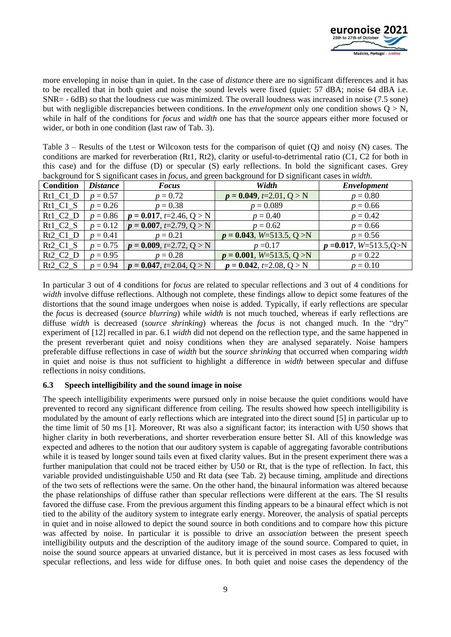

more enveloping in noise than in quiet. In the case of *distance* there are no significant differences and it has to be recalled that in both quiet and noise the sound levels were fixed (quiet: 57 dBA; noise 64 dBA i.e. SNR= - 6dB) so that the loudness cue was minimized. The overall loudness was increased in noise (7.5 sone) but with negligible discrepancies between conditions. In the *envelopment* only one condition shows  $Q > N$ , while in half of the conditions for *focus* and *width* one has that the source appears either more focused or wider, or both in one condition (last raw of Tab. 3).

Table 3 – Results of the t.test or Wilcoxon tests for the comparison of quiet (Q) and noisy (N) cases. The conditions are marked for reverberation (Rt1, Rt2), clarity or useful-to-detrimental ratio (C1, C2 for both in this case) and for the diffuse (D) or specular (S) early reflections. In bold the significant cases. Grey background for S significant cases in *focus*, and green background for D significant cases in *width*.

| <b>Condition</b>                 | <i>Distance</i> | <b>Focus</b>                 | Width                        | <b>Envelopment</b>              |
|----------------------------------|-----------------|------------------------------|------------------------------|---------------------------------|
| Rt1 C1 D                         | $p = 0.57$      | $p = 0.72$                   | $p = 0.049, t = 2.01, Q > N$ | $p = 0.80$                      |
| Rt1 C1 S                         | $p = 0.26$      | $p = 0.38$                   | $p = 0.089$                  | $p = 0.66$                      |
| $Rt1_C2_D$                       | $p = 0.86$      | $p = 0.017, t=2.46, Q > N$   | $p = 0.40$                   | $p = 0.42$                      |
| Rt1 C2 S                         | $p = 0.12$      | $p = 0.007, t=2.79, Q > N$   | $p = 0.62$                   | $p = 0.66$                      |
| Rt <sub>2</sub> C <sub>1</sub> D | $p = 0.41$      | $p = 0.21$                   | $p = 0.043, W=513.5, Q > N$  | $p = 0.56$                      |
| $Rt2_C1_S$                       | $p = 0.75$      | $p = 0.009, t=2.72, Q > N$   | $p = 0.17$                   | $p = 0.017$ , $W = 513.5$ , Q>N |
| Rt2 C2 D                         | $p = 0.95$      | $p = 0.28$                   | $p = 0.001, W=513.5, Q > N$  | $p = 0.22$                      |
| Rt2 C2 S                         | $p = 0.94$      | $p = 0.047, t = 2.04, Q > N$ | $p = 0.042, t = 2.08, Q > N$ | $p = 0.10$                      |

In particular 3 out of 4 conditions for *focus* are related to specular reflections and 3 out of 4 conditions for *width* involve diffuse reflections. Although not complete, these findings allow to depict some features of the distortions that the sound image undergoes when noise is added. Typically, if early reflections are specular the *focus* is decreased (*source blurring*) while *width* is not much touched, whereas if early reflections are diffuse *width* is decreased (*source shrinking*) whereas the *focus* is not changed much. In the "dry" experiment of [12] recalled in par. 6.1 *width* did not depend on the reflection type, and the same happened in the present reverberant quiet and noisy conditions when they are analysed separately. Noise hampers preferable diffuse reflections in case of *width* but the *source shrinking* that occurred when comparing *width* in quiet and noise is thus not sufficient to highlight a difference in *width* between specular and diffuse reflections in noisy conditions.

### **6.3 Speech intelligibility and the sound image in noise**

The speech intelligibility experiments were pursued only in noise because the quiet conditions would have prevented to record any significant difference from ceiling. The results showed how speech intelligibility is modulated by the amount of early reflections which are integrated into the direct sound [5] in particular up to the time limit of 50 ms [1]. Moreover, Rt was also a significant factor; its interaction with U50 shows that higher clarity in both reverberations, and shorter reverberation ensure better SI. All of this knowledge was expected and adheres to the notion that our auditory system is capable of aggregating favorable contributions while it is teased by longer sound tails even at fixed clarity values. But in the present experiment there was a further manipulation that could not be traced either by U50 or Rt, that is the type of reflection. In fact, this variable provided undistinguishable U50 and Rt data (see Tab. 2) because timing, amplitude and directions of the two sets of reflections were the same. On the other hand, the binaural information was altered because the phase relationships of diffuse rather than specular reflections were different at the ears. The SI results favored the diffuse case. From the previous argument this finding appears to be a binaural effect which is not tied to the ability of the auditory system to integrate early energy. Moreover, the analysis of spatial percepts in quiet and in noise allowed to depict the sound source in both conditions and to compare how this picture was affected by noise. In particular it is possible to drive an *association* between the present speech intelligibility outputs and the description of the auditory image of the sound source. Compared to quiet, in noise the sound source appears at unvaried distance, but it is perceived in most cases as less focused with specular reflections, and less wide for diffuse ones. In both quiet and noise cases the dependency of the